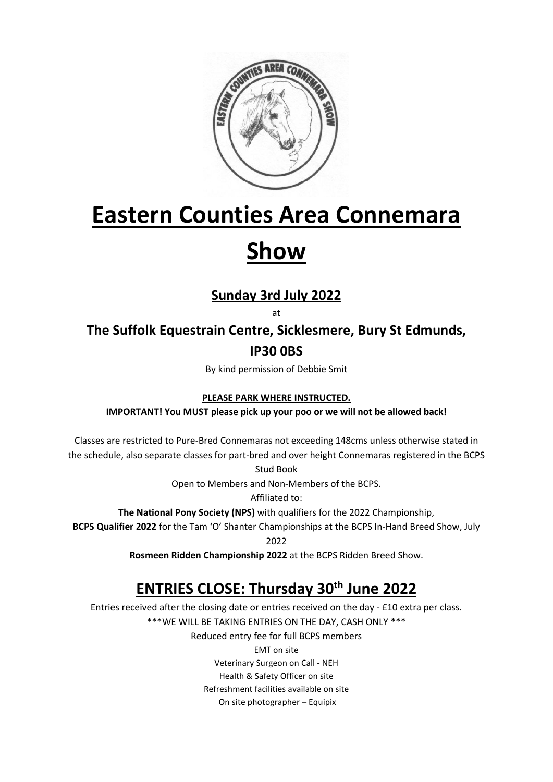

# **Eastern Counties Area Connemara**

## **Show**

### **Sunday 3rd July 2022**

at

**The Suffolk Equestrain Centre, Sicklesmere, Bury St Edmunds, IP30 0BS**

By kind permission of Debbie Smit

**PLEASE PARK WHERE INSTRUCTED.** 

**IMPORTANT! You MUST please pick up your poo or we will not be allowed back!**

Classes are restricted to Pure-Bred Connemaras not exceeding 148cms unless otherwise stated in the schedule, also separate classes for part-bred and over height Connemaras registered in the BCPS

Stud Book

Open to Members and Non-Members of the BCPS.

Affiliated to:

**The National Pony Society (NPS)** with qualifiers for the 2022 Championship,

**BCPS Qualifier 2022** for the Tam 'O' Shanter Championships at the BCPS In-Hand Breed Show, July

2022

**Rosmeen Ridden Championship 2022** at the BCPS Ridden Breed Show.

## **ENTRIES CLOSE: Thursday 30th June 2022**

Entries received after the closing date or entries received on the day - £10 extra per class. \*\*\*WE WILL BE TAKING ENTRIES ON THE DAY, CASH ONLY \*\*\* Reduced entry fee for full BCPS members EMT on site Veterinary Surgeon on Call - NEH Health & Safety Officer on site Refreshment facilities available on site On site photographer – Equipix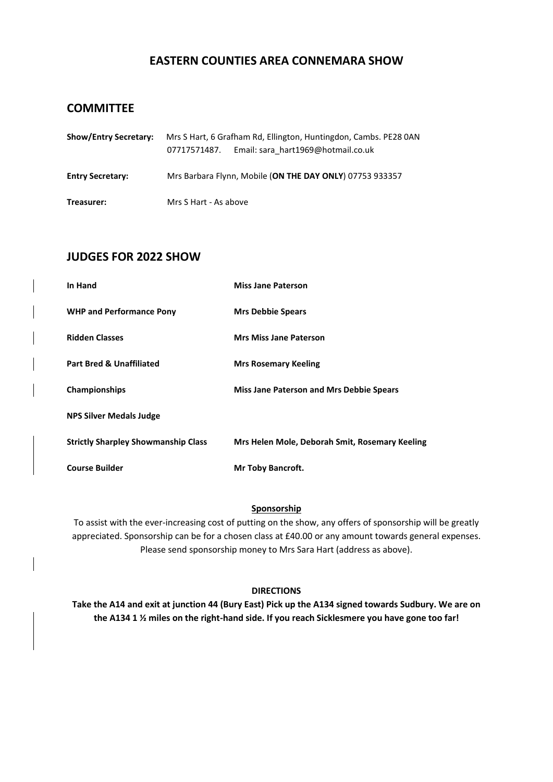#### **EASTERN COUNTIES AREA CONNEMARA SHOW**

#### **COMMITTEE**

| <b>Show/Entry Secretary:</b> | Mrs S Hart, 6 Grafham Rd, Ellington, Huntingdon, Cambs. PE28 0AN<br>Email: sara hart1969@hotmail.co.uk<br>07717571487. |  |  |  |  |  |
|------------------------------|------------------------------------------------------------------------------------------------------------------------|--|--|--|--|--|
| <b>Entry Secretary:</b>      | Mrs Barbara Flynn, Mobile (ON THE DAY ONLY) 07753 933357                                                               |  |  |  |  |  |
| Treasurer:                   | Mrs S Hart - As above                                                                                                  |  |  |  |  |  |

#### **JUDGES FOR 2022 SHOW**

| In Hand                                    | <b>Miss Jane Paterson</b>                       |  |  |
|--------------------------------------------|-------------------------------------------------|--|--|
| <b>WHP and Performance Pony</b>            | <b>Mrs Debbie Spears</b>                        |  |  |
| <b>Ridden Classes</b>                      | <b>Mrs Miss Jane Paterson</b>                   |  |  |
| <b>Part Bred &amp; Unaffiliated</b>        | <b>Mrs Rosemary Keeling</b>                     |  |  |
| Championships                              | <b>Miss Jane Paterson and Mrs Debbie Spears</b> |  |  |
| <b>NPS Silver Medals Judge</b>             |                                                 |  |  |
| <b>Strictly Sharpley Showmanship Class</b> | Mrs Helen Mole, Deborah Smit, Rosemary Keeling  |  |  |
| <b>Course Builder</b>                      | <b>Mr Toby Bancroft.</b>                        |  |  |

#### **Sponsorship**

To assist with the ever-increasing cost of putting on the show, any offers of sponsorship will be greatly appreciated. Sponsorship can be for a chosen class at £40.00 or any amount towards general expenses. Please send sponsorship money to Mrs Sara Hart (address as above).

#### **DIRECTIONS**

**Take the A14 and exit at junction 44 (Bury East) Pick up the A134 signed towards Sudbury. We are on the A134 1 ½ miles on the right-hand side. If you reach Sicklesmere you have gone too far!**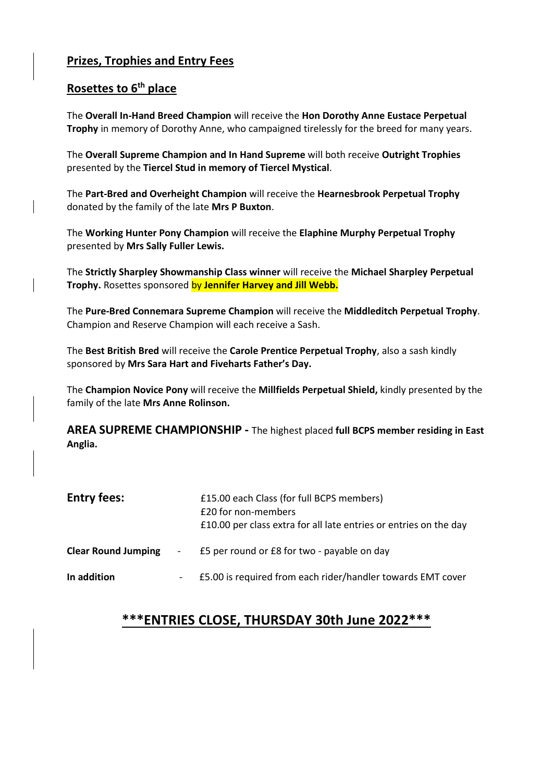#### **Prizes, Trophies and Entry Fees**

#### **Rosettes to 6th place**

The **Overall In-Hand Breed Champion** will receive the **Hon Dorothy Anne Eustace Perpetual Trophy** in memory of Dorothy Anne, who campaigned tirelessly for the breed for many years.

The **Overall Supreme Champion and In Hand Supreme** will both receive **Outright Trophies** presented by the **Tiercel Stud in memory of Tiercel Mystical**.

The **Part-Bred and Overheight Champion** will receive the **Hearnesbrook Perpetual Trophy** donated by the family of the late **Mrs P Buxton**.

The **Working Hunter Pony Champion** will receive the **Elaphine Murphy Perpetual Trophy**  presented by **Mrs Sally Fuller Lewis.**

The **Strictly Sharpley Showmanship Class winner** will receive the **Michael Sharpley Perpetual Trophy.** Rosettes sponsored by **Jennifer Harvey and Jill Webb.**

The **Pure-Bred Connemara Supreme Champion** will receive the **Middleditch Perpetual Trophy**. Champion and Reserve Champion will each receive a Sash.

The **Best British Bred** will receive the **Carole Prentice Perpetual Trophy**, also a sash kindly sponsored by **Mrs Sara Hart and Fiveharts Father's Day.**

The **Champion Novice Pony** will receive the **Millfields Perpetual Shield,** kindly presented by the family of the late **Mrs Anne Rolinson.** 

**AREA SUPREME CHAMPIONSHIP -** The highest placed **full BCPS member residing in East Anglia.**

| <b>Entry fees:</b>         |                 | £15.00 each Class (for full BCPS members)<br>£20 for non-members<br>£10.00 per class extra for all late entries or entries on the day |
|----------------------------|-----------------|---------------------------------------------------------------------------------------------------------------------------------------|
| <b>Clear Round Jumping</b> | $\sim$ 10 $\pm$ | £5 per round or £8 for two - payable on day                                                                                           |
| In addition                |                 | £5.00 is required from each rider/handler towards EMT cover                                                                           |

#### **\*\*\*ENTRIES CLOSE, THURSDAY 30th June 2022\*\*\***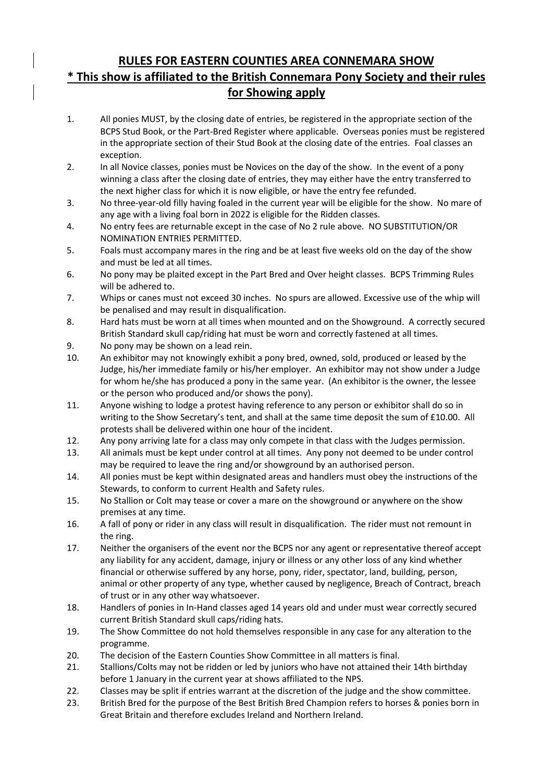#### **RULES FOR EASTERN COUNTIES AREA CONNEMARA SHOW \* This show is affiliated to the British Connemara Pony Society and their rules for Showing apply**

- 1. All ponies MUST, by the closing date of entries, be registered in the appropriate section of the BCPS Stud Book, or the Part-Bred Register where applicable. Overseas ponies must be registered in the appropriate section of their Stud Book at the closing date of the entries. Foal classes an exception.
- 2. In all Novice classes, ponies must be Novices on the day of the show. In the event of a pony winning a class after the closing date of entries, they may either have the entry transferred to the next higher class for which it is now eligible, or have the entry fee refunded.
- 3. No three-year-old filly having foaled in the current year will be eligible for the show. No mare of any age with a living foal born in 2022 is eligible for the Ridden classes.
- 4. No entry fees are returnable except in the case of No 2 rule above. NO SUBSTITUTION/OR NOMINATION ENTRIES PERMITTED.
- 5. Foals must accompany mares in the ring and be at least five weeks old on the day of the show and must be led at all times.
- 6. No pony may be plaited except in the Part Bred and Over height classes. BCPS Trimming Rules will be adhered to.
- 7. Whips or canes must not exceed 30 inches. No spurs are allowed. Excessive use of the whip will be penalised and may result in disqualification.
- 8. Hard hats must be worn at all times when mounted and on the Showground. A correctly secured British Standard skull cap/riding hat must be worn and correctly fastened at all times.
- 9. No pony may be shown on a lead rein.
- 10. An exhibitor may not knowingly exhibit a pony bred, owned, sold, produced or leased by the Judge, his/her immediate family or his/her employer. An exhibitor may not show under a Judge for whom he/she has produced a pony in the same year. (An exhibitor is the owner, the lessee or the person who produced and/or shows the pony).
- 11. Anyone wishing to lodge a protest having reference to any person or exhibitor shall do so in writing to the Show Secretary's tent, and shall at the same time deposit the sum of £10.00. All protests shall be delivered within one hour of the incident.
- 12. Any pony arriving late for a class may only compete in that class with the Judges permission.
- 13. All animals must be kept under control at all times. Any pony not deemed to be under control may be required to leave the ring and/or showground by an authorised person.
- 14. All ponies must be kept within designated areas and handlers must obey the instructions of the Stewards, to conform to current Health and Safety rules.
- 15. No Stallion or Colt may tease or cover a mare on the showground or anywhere on the show premises at any time.
- 16. A fall of pony or rider in any class will result in disqualification. The rider must not remount in the ring.
- 17. Neither the organisers of the event nor the BCPS nor any agent or representative thereof accept any liability for any accident, damage, injury or illness or any other loss of any kind whether financial or otherwise suffered by any horse, pony, rider, spectator, land, building, person, animal or other property of any type, whether caused by negligence, Breach of Contract, breach of trust or in any other way whatsoever.
- 18. Handlers of ponies in In-Hand classes aged 14 years old and under must wear correctly secured current British Standard skull caps/riding hats.
- 19. The Show Committee do not hold themselves responsible in any case for any alteration to the programme.
- 20. The decision of the Eastern Counties Show Committee in all matters is final.
- 21. Stallions/Colts may not be ridden or led by juniors who have not attained their 14th birthday before 1 January in the current year at shows affiliated to the NPS.
- 22. Classes may be split if entries warrant at the discretion of the judge and the show committee.
- 23. British Bred for the purpose of the Best British Bred Champion refers to horses & ponies born in Great Britain and therefore excludes Ireland and Northern Ireland.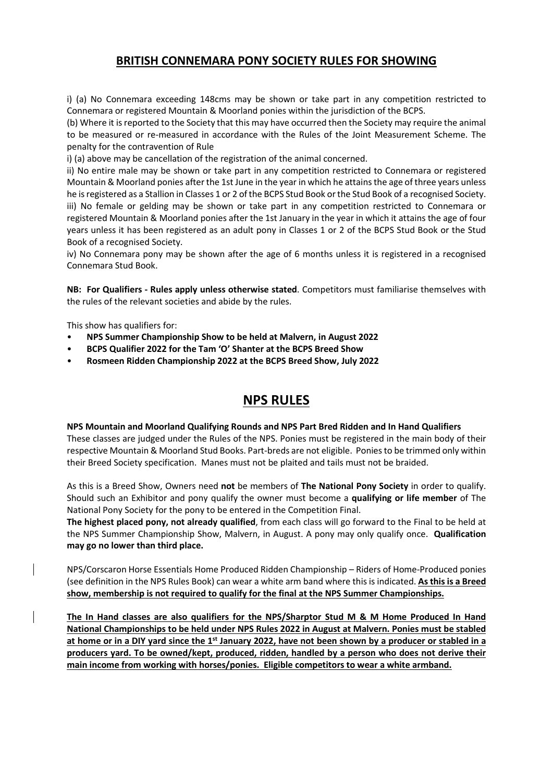#### **BRITISH CONNEMARA PONY SOCIETY RULES FOR SHOWING**

i) (a) No Connemara exceeding 148cms may be shown or take part in any competition restricted to Connemara or registered Mountain & Moorland ponies within the jurisdiction of the BCPS.

(b) Where it is reported to the Society that this may have occurred then the Society may require the animal to be measured or re-measured in accordance with the Rules of the Joint Measurement Scheme. The penalty for the contravention of Rule

i) (a) above may be cancellation of the registration of the animal concerned.

ii) No entire male may be shown or take part in any competition restricted to Connemara or registered Mountain & Moorland ponies after the 1st June in the year in which he attains the age of three years unless he is registered as a Stallion in Classes 1 or 2 of the BCPS Stud Book or the Stud Book of a recognised Society. iii) No female or gelding may be shown or take part in any competition restricted to Connemara or registered Mountain & Moorland ponies after the 1st January in the year in which it attains the age of four years unless it has been registered as an adult pony in Classes 1 or 2 of the BCPS Stud Book or the Stud Book of a recognised Society.

iv) No Connemara pony may be shown after the age of 6 months unless it is registered in a recognised Connemara Stud Book.

**NB: For Qualifiers - Rules apply unless otherwise stated**. Competitors must familiarise themselves with the rules of the relevant societies and abide by the rules.

This show has qualifiers for:

- **NPS Summer Championship Show to be held at Malvern, in August 2022**
- **BCPS Qualifier 2022 for the Tam 'O' Shanter at the BCPS Breed Show**
- **Rosmeen Ridden Championship 2022 at the BCPS Breed Show, July 2022**

#### **NPS RULES**

#### **NPS Mountain and Moorland Qualifying Rounds and NPS Part Bred Ridden and In Hand Qualifiers**

These classes are judged under the Rules of the NPS. Ponies must be registered in the main body of their respective Mountain & Moorland Stud Books. Part-breds are not eligible. Ponies to be trimmed only within their Breed Society specification. Manes must not be plaited and tails must not be braided.

As this is a Breed Show, Owners need **not** be members of **The National Pony Society** in order to qualify. Should such an Exhibitor and pony qualify the owner must become a **qualifying or life member** of The National Pony Society for the pony to be entered in the Competition Final.

**The highest placed pony, not already qualified**, from each class will go forward to the Final to be held at the NPS Summer Championship Show, Malvern, in August. A pony may only qualify once. **Qualification may go no lower than third place.**

NPS/Corscaron Horse Essentials Home Produced Ridden Championship – Riders of Home-Produced ponies (see definition in the NPS Rules Book) can wear a white arm band where this is indicated. **As this is a Breed show, membership is not required to qualify for the final at the NPS Summer Championships.**

**The In Hand classes are also qualifiers for the NPS/Sharptor Stud M & M Home Produced In Hand National Championships to be held under NPS Rules 2022 in August at Malvern. Ponies must be stabled at home or in a DIY yard since the 1st January 2022, have not been shown by a producer or stabled in a producers yard. To be owned/kept, produced, ridden, handled by a person who does not derive their main income from working with horses/ponies. Eligible competitors to wear a white armband.**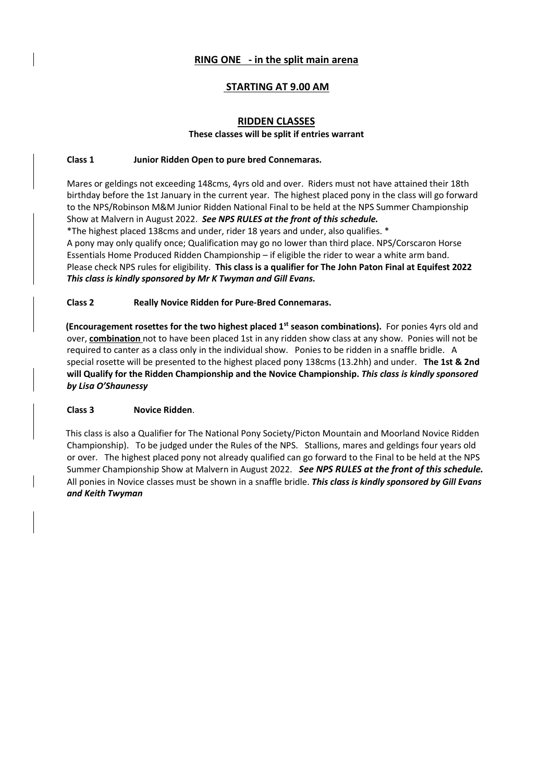#### **RING ONE - in the split main arena**

#### **STARTING AT 9.00 AM**

#### **RIDDEN CLASSES These classes will be split if entries warrant**

#### **Class 1 Junior Ridden Open to pure bred Connemaras.**

Mares or geldings not exceeding 148cms, 4yrs old and over. Riders must not have attained their 18th birthday before the 1st January in the current year. The highest placed pony in the class will go forward to the NPS/Robinson M&M Junior Ridden National Final to be held at the NPS Summer Championship Show at Malvern in August 2022. *See NPS RULES at the front of this schedule.*

\*The highest placed 138cms and under, rider 18 years and under, also qualifies. \* A pony may only qualify once; Qualification may go no lower than third place. NPS/Corscaron Horse Essentials Home Produced Ridden Championship – if eligible the rider to wear a white arm band. Please check NPS rules for eligibility. **This class is a qualifier for The John Paton Final at Equifest 2022** *This class is kindly sponsored by Mr K Twyman and Gill Evans.*

#### **Class 2 Really Novice Ridden for Pure-Bred Connemaras.**

**(Encouragement rosettes for the two highest placed 1st season combinations).** For ponies 4yrs old and over, **combination** not to have been placed 1st in any ridden show class at any show. Ponies will not be required to canter as a class only in the individual show. Ponies to be ridden in a snaffle bridle. A special rosette will be presented to the highest placed pony 138cms (13.2hh) and under. **The 1st & 2nd will Qualify for the Ridden Championship and the Novice Championship.** *This class is kindly sponsored by Lisa O'Shaunessy*

#### **Class 3 Novice Ridden**.

This class is also a Qualifier for The National Pony Society/Picton Mountain and Moorland Novice Ridden Championship). To be judged under the Rules of the NPS. Stallions, mares and geldings four years old or over. The highest placed pony not already qualified can go forward to the Final to be held at the NPS Summer Championship Show at Malvern in August 2022. *See NPS RULES at the front of this schedule.* All ponies in Novice classes must be shown in a snaffle bridle. *This class is kindly sponsored by Gill Evans and Keith Twyman*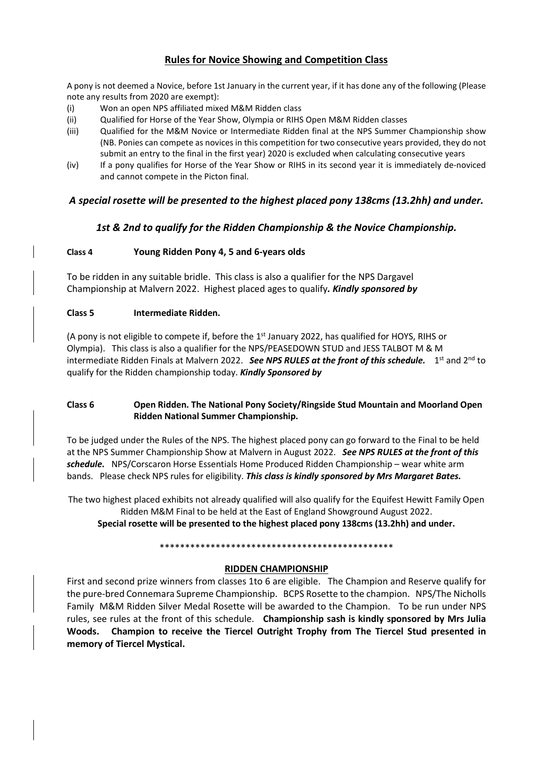#### **Rules for Novice Showing and Competition Class**

A pony is not deemed a Novice, before 1st January in the current year, if it has done any of the following (Please note any results from 2020 are exempt):

- (i) Won an open NPS affiliated mixed M&M Ridden class
- (ii) Qualified for Horse of the Year Show, Olympia or RIHS Open M&M Ridden classes
- (iii) Qualified for the M&M Novice or Intermediate Ridden final at the NPS Summer Championship show (NB. Ponies can compete as novices in this competition for two consecutive years provided, they do not submit an entry to the final in the first year) 2020 is excluded when calculating consecutive years
- (iv) If a pony qualifies for Horse of the Year Show or RIHS in its second year it is immediately de-noviced and cannot compete in the Picton final.

#### *A special rosette will be presented to the highest placed pony 138cms (13.2hh) and under.*

#### *1st & 2nd to qualify for the Ridden Championship & the Novice Championship.*

#### **Class 4 Young Ridden Pony 4, 5 and 6-years olds**

To be ridden in any suitable bridle. This class is also a qualifier for the NPS Dargavel Championship at Malvern 2022. Highest placed ages to qualify*. Kindly sponsored by*

#### **Class 5 Intermediate Ridden.**

(A pony is not eligible to compete if, before the  $1<sup>st</sup>$  January 2022, has qualified for HOYS, RIHS or Olympia). This class is also a qualifier for the NPS/PEASEDOWN STUD and JESS TALBOT M & M intermediate Ridden Finals at Malvern 2022. *See NPS RULES at the front of this schedule*. 1<sup>st</sup> and 2<sup>nd</sup> to qualify for the Ridden championship today. *Kindly Sponsored by* 

#### **Class 6 Open Ridden. The National Pony Society/Ringside Stud Mountain and Moorland Open Ridden National Summer Championship.**

To be judged under the Rules of the NPS. The highest placed pony can go forward to the Final to be held at the NPS Summer Championship Show at Malvern in August 2022. *See NPS RULES at the front of this schedule.* NPS/Corscaron Horse Essentials Home Produced Ridden Championship – wear white arm bands. Please check NPS rules for eligibility. *This class is kindly sponsored by Mrs Margaret Bates.*

The two highest placed exhibits not already qualified will also qualify for the Equifest Hewitt Family Open Ridden M&M Final to be held at the East of England Showground August 2022. **Special rosette will be presented to the highest placed pony 138cms (13.2hh) and under.**

#### \*\*\*\*\*\*\*\*\*\*\*\*\*\*\*\*\*\*\*\*\*\*\*\*\*\*\*\*\*\*\*\*\*\*\*\*\*\*\*\*\*\*\*\*\*\*

#### **RIDDEN CHAMPIONSHIP**

First and second prize winners from classes 1to 6 are eligible. The Champion and Reserve qualify for the pure-bred Connemara Supreme Championship. BCPS Rosette to the champion. NPS/The Nicholls Family M&M Ridden Silver Medal Rosette will be awarded to the Champion. To be run under NPS rules, see rules at the front of this schedule. **Championship sash is kindly sponsored by Mrs Julia Woods. Champion to receive the Tiercel Outright Trophy from The Tiercel Stud presented in memory of Tiercel Mystical.**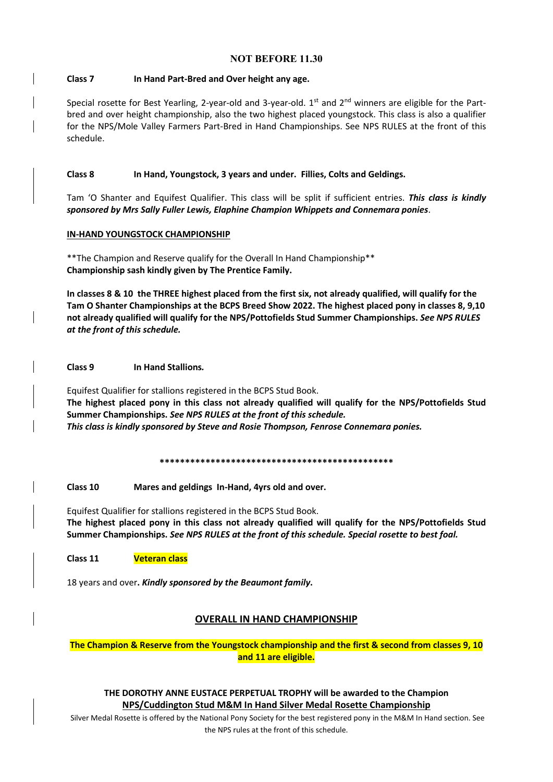#### **NOT BEFORE 11.30**

#### **Class 7 In Hand Part-Bred and Over height any age.**

Special rosette for Best Yearling, 2-year-old and 3-year-old. 1<sup>st</sup> and 2<sup>nd</sup> winners are eligible for the Partbred and over height championship, also the two highest placed youngstock. This class is also a qualifier for the NPS/Mole Valley Farmers Part-Bred in Hand Championships. See NPS RULES at the front of this schedule.

#### **Class 8 In Hand, Youngstock, 3 years and under. Fillies, Colts and Geldings.**

Tam 'O Shanter and Equifest Qualifier. This class will be split if sufficient entries. *This class is kindly sponsored by Mrs Sally Fuller Lewis, Elaphine Champion Whippets and Connemara ponies*.

#### **IN-HAND YOUNGSTOCK CHAMPIONSHIP**

\*\*The Champion and Reserve qualify for the Overall In Hand Championship\*\* **Championship sash kindly given by The Prentice Family.**

**In classes 8 & 10 the THREE highest placed from the first six, not already qualified, will qualify for the Tam O Shanter Championships at the BCPS Breed Show 2022. The highest placed pony in classes 8, 9,10 not already qualified will qualify for the NPS/Pottofields Stud Summer Championships.** *See NPS RULES at the front of this schedule.*

**Class 9 In Hand Stallions***.* 

Equifest Qualifier for stallions registered in the BCPS Stud Book. **The highest placed pony in this class not already qualified will qualify for the NPS/Pottofields Stud Summer Championships.** *See NPS RULES at the front of this schedule. This class is kindly sponsored by Steve and Rosie Thompson, Fenrose Connemara ponies.*

**\*\*\*\*\*\*\*\*\*\*\*\*\*\*\*\*\*\*\*\*\*\*\*\*\*\*\*\*\*\*\*\*\*\*\*\*\*\*\*\*\*\*\*\*\*\***

**Class 10 Mares and geldings In-Hand, 4yrs old and over.**

Equifest Qualifier for stallions registered in the BCPS Stud Book. **The highest placed pony in this class not already qualified will qualify for the NPS/Pottofields Stud Summer Championships.** *See NPS RULES at the front of this schedule. Special rosette to best foal.*

**Class 11 Veteran class** 

18 years and over**.** *Kindly sponsored by the Beaumont family***.** 

#### **OVERALL IN HAND CHAMPIONSHIP**

**The Champion & Reserve from the Youngstock championship and the first & second from classes 9, 10 and 11 are eligible.** 

**THE DOROTHY ANNE EUSTACE PERPETUAL TROPHY will be awarded to the Champion NPS/Cuddington Stud M&M In Hand Silver Medal Rosette Championship**

Silver Medal Rosette is offered by the National Pony Society for the best registered pony in the M&M In Hand section. See the NPS rules at the front of this schedule.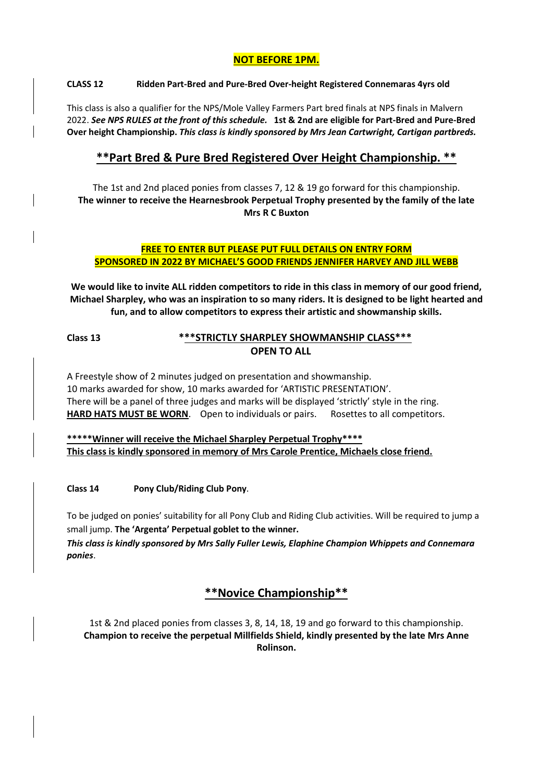#### **NOT BEFORE 1PM.**

#### **CLASS 12 Ridden Part-Bred and Pure-Bred Over-height Registered Connemaras 4yrs old**

This class is also a qualifier for the NPS/Mole Valley Farmers Part bred finals at NPS finals in Malvern 2022. *See NPS RULES at the front of this schedule.* **1st & 2nd are eligible for Part-Bred and Pure-Bred Over height Championship.** *This class is kindly sponsored by Mrs Jean Cartwright, Cartigan partbreds.*

#### **\*\*Part Bred & Pure Bred Registered Over Height Championship. \*\***

The 1st and 2nd placed ponies from classes 7, 12 & 19 go forward for this championship. **The winner to receive the Hearnesbrook Perpetual Trophy presented by the family of the late Mrs R C Buxton**

#### **FREE TO ENTER BUT PLEASE PUT FULL DETAILS ON ENTRY FORM SPONSORED IN 2022 BY MICHAEL'S GOOD FRIENDS JENNIFER HARVEY AND JILL WEBB**

**We would like to invite ALL ridden competitors to ride in this class in memory of our good friend, Michael Sharpley, who was an inspiration to so many riders. It is designed to be light hearted and fun, and to allow competitors to express their artistic and showmanship skills.**

#### **Class 13 \*\*\*STRICTLY SHARPLEY SHOWMANSHIP CLASS\*\*\* OPEN TO ALL**

A Freestyle show of 2 minutes judged on presentation and showmanship. 10 marks awarded for show, 10 marks awarded for 'ARTISTIC PRESENTATION'. There will be a panel of three judges and marks will be displayed 'strictly' style in the ring. **HARD HATS MUST BE WORN**. Open to individuals or pairs. Rosettes to all competitors.

**\*\*\*\*\*Winner will receive the Michael Sharpley Perpetual Trophy\*\*\*\* This class is kindly sponsored in memory of Mrs Carole Prentice, Michaels close friend.**

**Class 14 Pony Club/Riding Club Pony**.

To be judged on ponies' suitability for all Pony Club and Riding Club activities. Will be required to jump a small jump. **The 'Argenta' Perpetual goblet to the winner.** 

*This class is kindly sponsored by Mrs Sally Fuller Lewis, Elaphine Champion Whippets and Connemara ponies*.

#### **\*\*Novice Championship\*\***

1st & 2nd placed ponies from classes 3, 8, 14, 18, 19 and go forward to this championship. **Champion to receive the perpetual Millfields Shield, kindly presented by the late Mrs Anne Rolinson.**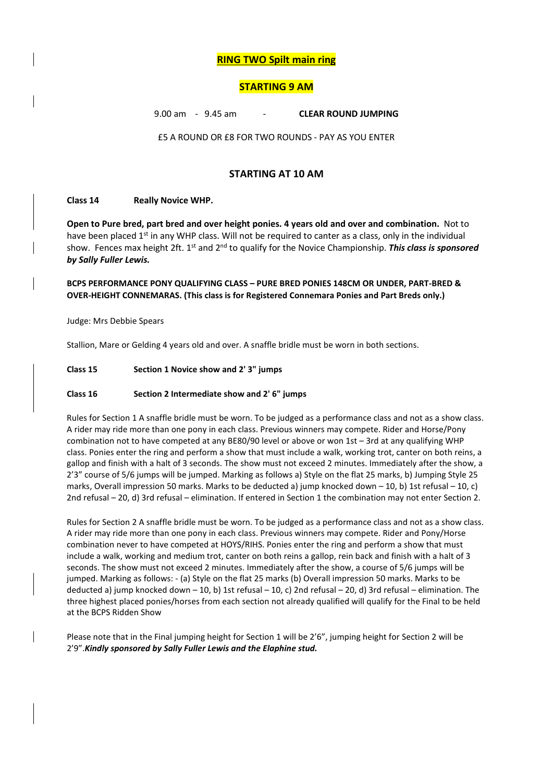#### **RING TWO Spilt main ring**

#### **STARTING 9 AM**

9.00 am - 9.45 am - **CLEAR ROUND JUMPING** 

£5 A ROUND OR £8 FOR TWO ROUNDS - PAY AS YOU ENTER

#### **STARTING AT 10 AM**

#### **Class 14 Really Novice WHP.**

**Open to Pure bred, part bred and over height ponies. 4 years old and over and combination.** Not to have been placed 1<sup>st</sup> in any WHP class. Will not be required to canter as a class, only in the individual show. Fences max height 2ft. 1<sup>st</sup> and 2<sup>nd</sup> to qualify for the Novice Championship. This class is sponsored *by Sally Fuller Lewis.*

**BCPS PERFORMANCE PONY QUALIFYING CLASS – PURE BRED PONIES 148CM OR UNDER, PART-BRED & OVER-HEIGHT CONNEMARAS. (This class is for Registered Connemara Ponies and Part Breds only.)**

Judge: Mrs Debbie Spears

Stallion, Mare or Gelding 4 years old and over. A snaffle bridle must be worn in both sections.

#### **Class 15 Section 1 Novice show and 2' 3" jumps**

#### **Class 16 Section 2 Intermediate show and 2' 6" jumps**

Rules for Section 1 A snaffle bridle must be worn. To be judged as a performance class and not as a show class. A rider may ride more than one pony in each class. Previous winners may compete. Rider and Horse/Pony combination not to have competed at any BE80/90 level or above or won 1st – 3rd at any qualifying WHP class. Ponies enter the ring and perform a show that must include a walk, working trot, canter on both reins, a gallop and finish with a halt of 3 seconds. The show must not exceed 2 minutes. Immediately after the show, a 2'3" course of 5/6 jumps will be jumped. Marking as follows a) Style on the flat 25 marks, b) Jumping Style 25 marks, Overall impression 50 marks. Marks to be deducted a) jump knocked down – 10, b) 1st refusal – 10, c) 2nd refusal – 20, d) 3rd refusal – elimination. If entered in Section 1 the combination may not enter Section 2.

Rules for Section 2 A snaffle bridle must be worn. To be judged as a performance class and not as a show class. A rider may ride more than one pony in each class. Previous winners may compete. Rider and Pony/Horse combination never to have competed at HOYS/RIHS. Ponies enter the ring and perform a show that must include a walk, working and medium trot, canter on both reins a gallop, rein back and finish with a halt of 3 seconds. The show must not exceed 2 minutes. Immediately after the show, a course of 5/6 jumps will be jumped. Marking as follows: - (a) Style on the flat 25 marks (b) Overall impression 50 marks. Marks to be deducted a) jump knocked down – 10, b) 1st refusal – 10, c) 2nd refusal – 20, d) 3rd refusal – elimination. The three highest placed ponies/horses from each section not already qualified will qualify for the Final to be held at the BCPS Ridden Show

Please note that in the Final jumping height for Section 1 will be 2'6", jumping height for Section 2 will be 2'9".*Kindly sponsored by Sally Fuller Lewis and the Elaphine stud.*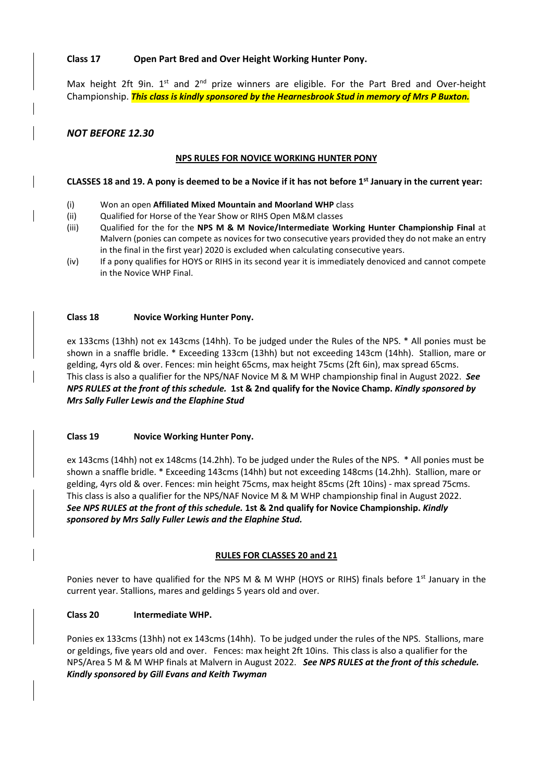#### **Class 17 Open Part Bred and Over Height Working Hunter Pony.**

Max height 2ft 9in.  $1^{st}$  and  $2^{nd}$  prize winners are eligible. For the Part Bred and Over-height Championship. *This class is kindly sponsored by the Hearnesbrook Stud in memory of Mrs P Buxton.*

#### *NOT BEFORE 12.30*

#### **NPS RULES FOR NOVICE WORKING HUNTER PONY**

#### **CLASSES 18 and 19. A pony is deemed to be a Novice if it has not before 1st January in the current year:**

- (i) Won an open **Affiliated Mixed Mountain and Moorland WHP** class
- (ii) Qualified for Horse of the Year Show or RIHS Open M&M classes
- (iii) Qualified for the for the **NPS M & M Novice/Intermediate Working Hunter Championship Final** at Malvern (ponies can compete as novices for two consecutive years provided they do not make an entry in the final in the first year) 2020 is excluded when calculating consecutive years.
- (iv) If a pony qualifies for HOYS or RIHS in its second year it is immediately denoviced and cannot compete in the Novice WHP Final.

#### **Class 18 Novice Working Hunter Pony.**

ex 133cms (13hh) not ex 143cms (14hh). To be judged under the Rules of the NPS. \* All ponies must be shown in a snaffle bridle. \* Exceeding 133cm (13hh) but not exceeding 143cm (14hh). Stallion, mare or gelding, 4yrs old & over. Fences: min height 65cms, max height 75cms (2ft 6in), max spread 65cms. This class is also a qualifier for the NPS/NAF Novice M & M WHP championship final in August 2022. *See NPS RULES at the front of this schedule.* **1st & 2nd qualify for the Novice Champ.** *Kindly sponsored by Mrs Sally Fuller Lewis and the Elaphine Stud* 

#### **Class 19 Novice Working Hunter Pony.**

ex 143cms (14hh) not ex 148cms (14.2hh). To be judged under the Rules of the NPS. \* All ponies must be shown a snaffle bridle. \* Exceeding 143cms (14hh) but not exceeding 148cms (14.2hh). Stallion, mare or gelding, 4yrs old & over. Fences: min height 75cms, max height 85cms (2ft 10ins) - max spread 75cms. This class is also a qualifier for the NPS/NAF Novice M & M WHP championship final in August 2022. *See NPS RULES at the front of this schedule.* **1st & 2nd qualify for Novice Championship.** *Kindly sponsored by Mrs Sally Fuller Lewis and the Elaphine Stud.*

#### **RULES FOR CLASSES 20 and 21**

Ponies never to have qualified for the NPS M & M WHP (HOYS or RIHS) finals before 1<sup>st</sup> January in the current year. Stallions, mares and geldings 5 years old and over.

#### **Class 20 Intermediate WHP.**

Ponies ex 133cms (13hh) not ex 143cms (14hh). To be judged under the rules of the NPS. Stallions, mare or geldings, five years old and over. Fences: max height 2ft 10ins. This class is also a qualifier for the NPS/Area 5 M & M WHP finals at Malvern in August 2022. *See NPS RULES at the front of this schedule. Kindly sponsored by Gill Evans and Keith Twyman*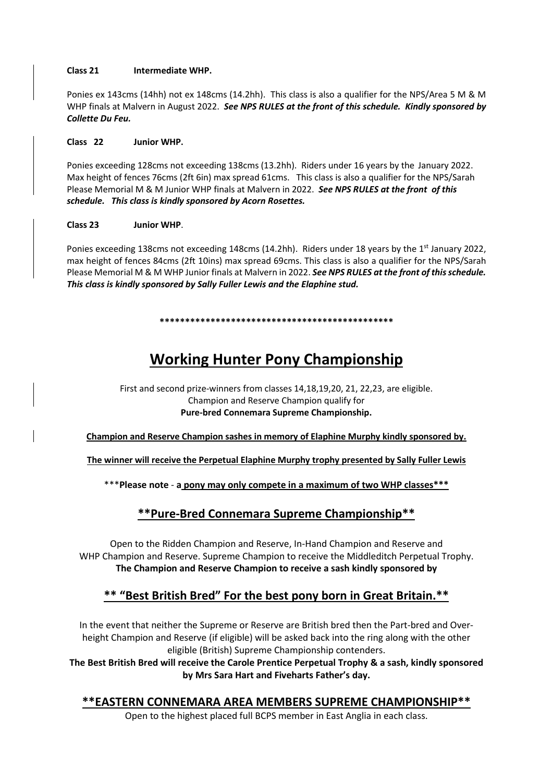#### **Class 21 Intermediate WHP.**

Ponies ex 143cms (14hh) not ex 148cms (14.2hh). This class is also a qualifier for the NPS/Area 5 M & M WHP finals at Malvern in August 2022. *See NPS RULES at the front of this schedule. Kindly sponsored by Collette Du Feu.*

#### **Class 22 Junior WHP.**

Ponies exceeding 128cms not exceeding 138cms (13.2hh). Riders under 16 years by the January 2022. Max height of fences 76cms (2ft 6in) max spread 61cms. This class is also a qualifier for the NPS/Sarah Please Memorial M & M Junior WHP finals at Malvern in 2022. *See NPS RULES at the front of this schedule. This class is kindly sponsored by Acorn Rosettes.*

#### **Class 23 Junior WHP**.

Ponies exceeding 138cms not exceeding 148cms (14.2hh). Riders under 18 years by the 1<sup>st</sup> January 2022, max height of fences 84cms (2ft 10ins) max spread 69cms. This class is also a qualifier for the NPS/Sarah Please Memorial M & M WHP Junior finals at Malvern in 2022. *See NPS RULES at the front of this schedule. This class is kindly sponsored by Sally Fuller Lewis and the Elaphine stud.*

#### **\*\*\*\*\*\*\*\*\*\*\*\*\*\*\*\*\*\*\*\*\*\*\*\*\*\*\*\*\*\*\*\*\*\*\*\*\*\*\*\*\*\*\*\*\*\***

### **Working Hunter Pony Championship**

#### First and second prize-winners from classes 14,18,19,20, 21, 22,23, are eligible. Champion and Reserve Champion qualify for **Pure-bred Connemara Supreme Championship.**

**Champion and Reserve Champion sashes in memory of Elaphine Murphy kindly sponsored by.** 

**The winner will receive the Perpetual Elaphine Murphy trophy presented by Sally Fuller Lewis**

\*\*\***Please note** - **a pony may only compete in a maximum of two WHP classes\*\*\***

#### **\*\*Pure-Bred Connemara Supreme Championship\*\***

Open to the Ridden Champion and Reserve, In-Hand Champion and Reserve and WHP Champion and Reserve. Supreme Champion to receive the Middleditch Perpetual Trophy. **The Champion and Reserve Champion to receive a sash kindly sponsored by**

#### **\*\* "Best British Bred" For the best pony born in Great Britain.\*\***

In the event that neither the Supreme or Reserve are British bred then the Part-bred and Overheight Champion and Reserve (if eligible) will be asked back into the ring along with the other eligible (British) Supreme Championship contenders.

**The Best British Bred will receive the Carole Prentice Perpetual Trophy & a sash, kindly sponsored by Mrs Sara Hart and Fiveharts Father's day.**

#### **\*\*EASTERN CONNEMARA AREA MEMBERS SUPREME CHAMPIONSHIP\*\***

Open to the highest placed full BCPS member in East Anglia in each class.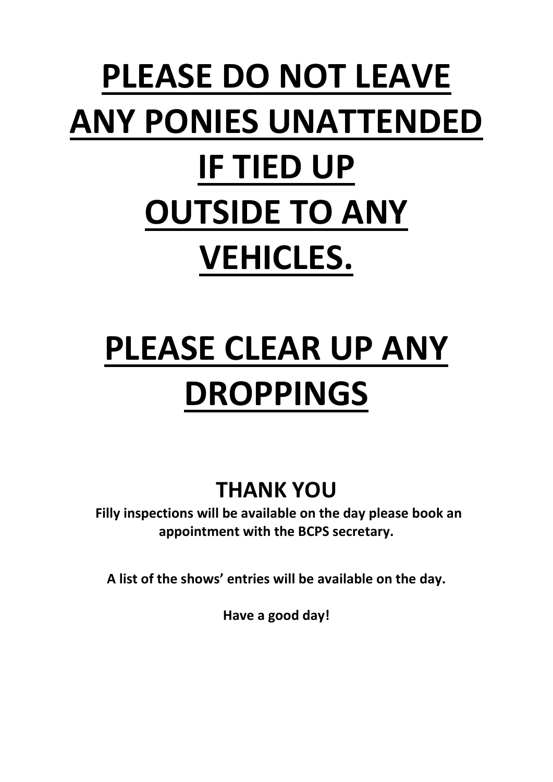# **PLEASE DO NOT LEAVE ANY PONIES UNATTENDED IF TIED UP OUTSIDE TO ANY VEHICLES.**

# **PLEASE CLEAR UP ANY DROPPINGS**

## **THANK YOU**

**Filly inspections will be available on the day please book an appointment with the BCPS secretary.** 

**A list of the shows' entries will be available on the day.**

**Have a good day!**